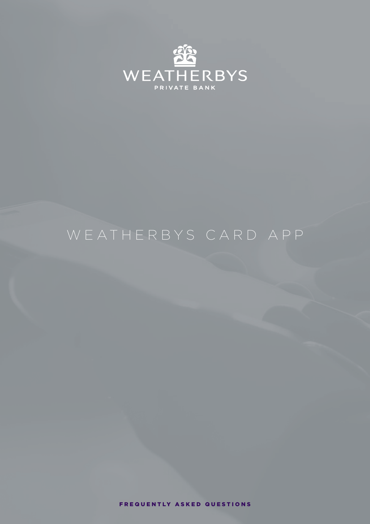

# WEATHERBYS CARD APP

FREQUENTLY ASKED QUESTIONS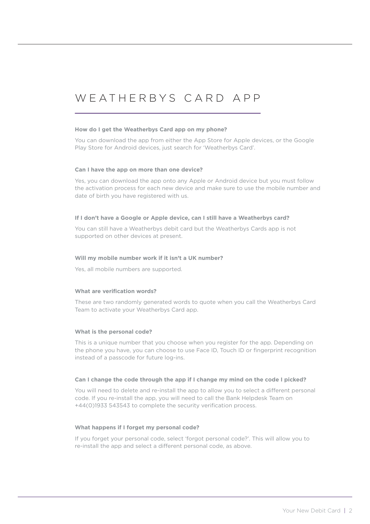## WEATHERBYS CARD APP

#### **How do I get the Weatherbys Card app on my phone?**

You can download the app from either the App Store for Apple devices, or the Google Play Store for Android devices, just search for 'Weatherbys Card'.

#### **Can I have the app on more than one device?**

Yes, you can download the app onto any Apple or Android device but you must follow the activation process for each new device and make sure to use the mobile number and date of birth you have registered with us.

#### **If I don't have a Google or Apple device, can I still have a Weatherbys card?**

You can still have a Weatherbys debit card but the Weatherbys Cards app is not supported on other devices at present.

#### **Will my mobile number work if it isn't a UK number?**

Yes, all mobile numbers are supported.

#### **What are verification words?**

These are two randomly generated words to quote when you call the Weatherbys Card Team to activate your Weatherbys Card app.

#### **What is the personal code?**

This is a unique number that you choose when you register for the app. Depending on the phone you have, you can choose to use Face ID, Touch ID or fingerprint recognition instead of a passcode for future log-ins.

#### **Can I change the code through the app if I change my mind on the code I picked?**

You will need to delete and re-install the app to allow you to select a different personal code. If you re-install the app, you will need to call the Bank Helpdesk Team on +44(0)1933 543543 to complete the security verification process.

#### **What happens if I forget my personal code?**

If you forget your personal code, select 'forgot personal code?'. This will allow you to re-install the app and select a different personal code, as above.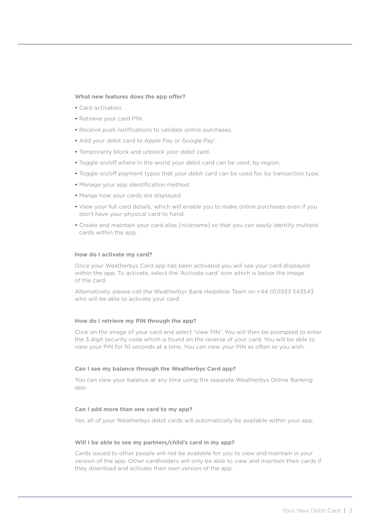#### **What new features does the app offer?**

- Card activation.
- Retrieve your card PIN.
- Receive push notifications to validate online purchases.
- Add your debit card to Apple Pay or Google Pay'.
- Temporarily block and unblock your debit card.
- Toggle on/off where in the world your debit card can be used, by region.
- Toggle on/off payment types that your debit card can be used for, by transaction type.
- Manage your app identification method.
- Mange how your cards are displayed.
- View your full card details, which will enable you to make online purchases even if you don't have your physical card to hand.
- Create and maintain your card alias (nickname) so that you can easily identify multiple cards within the app.

#### **How do I activate my card?**

Once your Weatherbys Card app has been activated you will see your card displayed within the app. To activate, select the 'Activate card' icon which is below the image of the card.

Alternatively, please call the Weatherbys Bank Helpdesk Team on +44 (0)1933 543543 who will be able to activate your card.

#### **How do I retrieve my PIN through the app?**

Click on the image of your card and select 'View PIN'. You will then be prompted to enter the 3 digit security code which is found on the reverse of your card. You will be able to view your PIN for 10 seconds at a time. You can view your PIN as often as you wish.

#### **Can I see my balance through the Weatherbys Card app?**

You can view your balance at any time using the separate Weatherbys Online Banking app.

#### **Can I add more than one card to my app?**

Yes, all of your Weatherbys debit cards will automatically be available within your app.

#### **Will I be able to see my partners/child's card in my app?**

Cards issued to other people will not be available for you to view and maintain in your version of the app. Other cardholders will only be able to view and maintain their cards if they download and activate their own version of the app.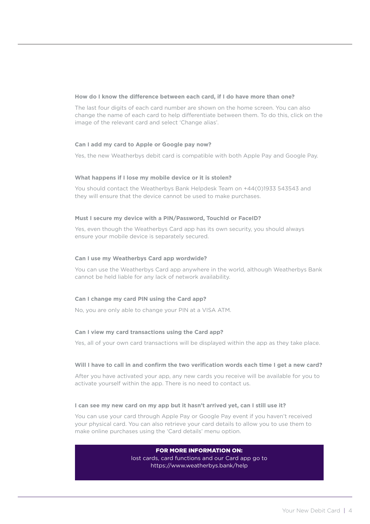#### **How do I know the difference between each card, if I do have more than one?**

The last four digits of each card number are shown on the home screen. You can also change the name of each card to help differentiate between them. To do this, click on the image of the relevant card and select 'Change alias'.

#### **Can I add my card to Apple or Google pay now?**

Yes, the new Weatherbys debit card is compatible with both Apple Pay and Google Pay.

#### **What happens if I lose my mobile device or it is stolen?**

You should contact the Weatherbys Bank Helpdesk Team on +44(0)1933 543543 and they will ensure that the device cannot be used to make purchases.

#### **Must I secure my device with a PIN/Password, TouchId or FaceID?**

Yes, even though the Weatherbys Card app has its own security, you should always ensure your mobile device is separately secured.

#### **Can I use my Weatherbys Card app wordwide?**

You can use the Weatherbys Card app anywhere in the world, although Weatherbys Bank cannot be held liable for any lack of network availability.

### **Can I change my card PIN using the Card app?**

No, you are only able to change your PIN at a VISA ATM.

### **Can I view my card transactions using the Card app?**

Yes, all of your own card transactions will be displayed within the app as they take place.

#### **Will I have to call in and confirm the two verification words each time I get a new card?**

After you have activated your app, any new cards you receive will be available for you to activate yourself within the app. There is no need to contact us.

### **I can see my new card on my app but it hasn't arrived yet, can I still use it?**

You can use your card through Apple Pay or Google Pay event if you haven't received your physical card. You can also retrieve your card details to allow you to use them to make online purchases using the 'Card details' menu option.

### FOR MORE INFORMATION ON:

[lost cards, card functions and our Card app go to](https://www.weatherbys.bank/contact) <https://www.weatherbys.bank/help>